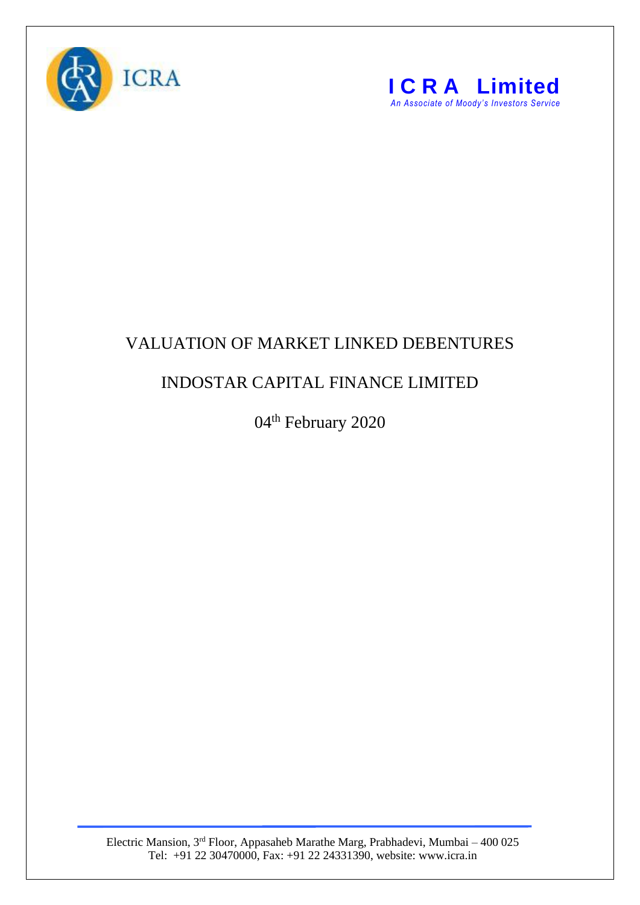



## VALUATION OF MARKET LINKED DEBENTURES

## INDOSTAR CAPITAL FINANCE LIMITED

04<sup>th</sup> February 2020